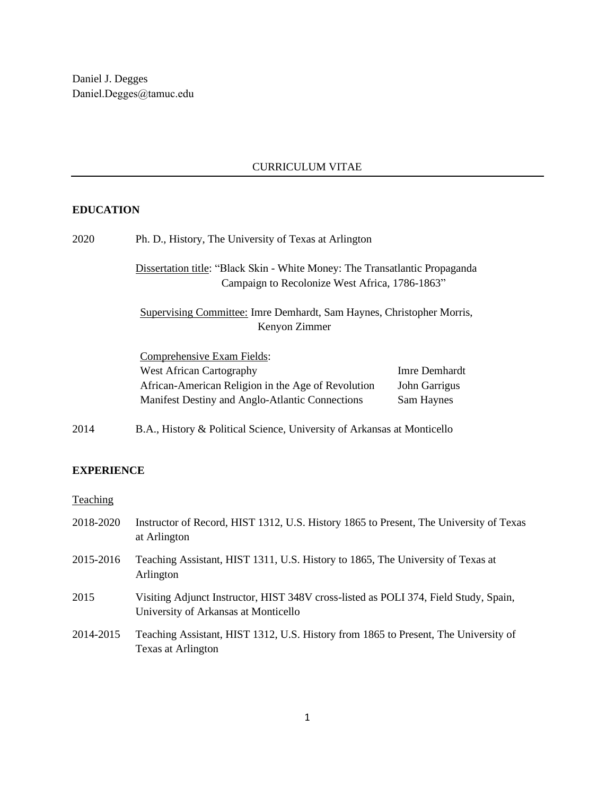# CURRICULUM VITAE

### **EDUCATION**

| 2020 | Ph. D., History, The University of Texas at Arlington                                                                         |               |
|------|-------------------------------------------------------------------------------------------------------------------------------|---------------|
|      | Dissertation title: "Black Skin - White Money: The Transatlantic Propaganda<br>Campaign to Recolonize West Africa, 1786-1863" |               |
|      | Supervising Committee: Imre Demhardt, Sam Haynes, Christopher Morris,<br>Kenyon Zimmer                                        |               |
|      | Comprehensive Exam Fields:                                                                                                    |               |
|      | <b>West African Cartography</b>                                                                                               | Imre Demhardt |
|      | African-American Religion in the Age of Revolution                                                                            | John Garrigus |
|      | Manifest Destiny and Anglo-Atlantic Connections                                                                               | Sam Haynes    |
| 2014 | B.A., History & Political Science, University of Arkansas at Monticello                                                       |               |

### **EXPERIENCE**

# **Teaching**

| 2018-2020 | Instructor of Record, HIST 1312, U.S. History 1865 to Present, The University of Texas<br>at Arlington                       |
|-----------|------------------------------------------------------------------------------------------------------------------------------|
| 2015-2016 | Teaching Assistant, HIST 1311, U.S. History to 1865, The University of Texas at<br>Arlington                                 |
| 2015      | Visiting Adjunct Instructor, HIST 348V cross-listed as POLI 374, Field Study, Spain,<br>University of Arkansas at Monticello |
| 2014-2015 | Teaching Assistant, HIST 1312, U.S. History from 1865 to Present, The University of<br>Texas at Arlington                    |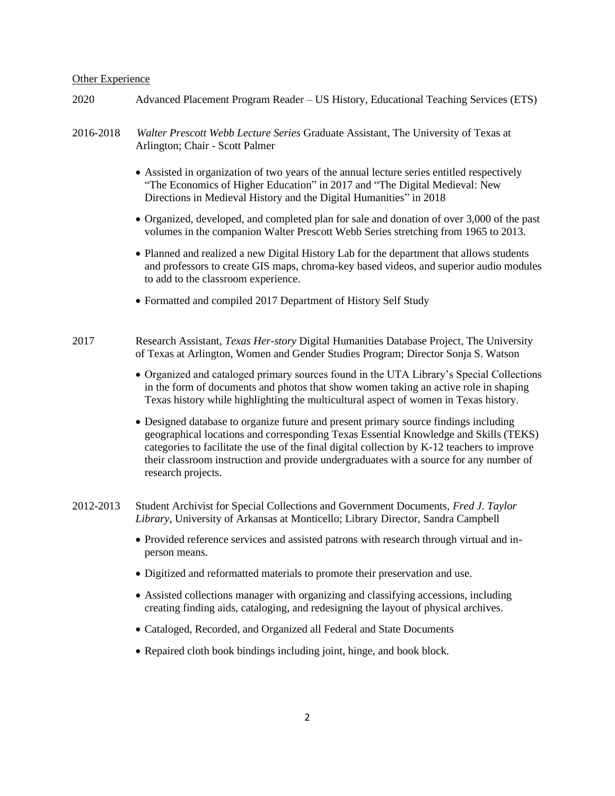#### Other Experience

- 2020 Advanced Placement Program Reader US History, Educational Teaching Services (ETS)
- 2016-2018 *Walter Prescott Webb Lecture Series* Graduate Assistant, The University of Texas at Arlington; Chair - Scott Palmer
	- Assisted in organization of two years of the annual lecture series entitled respectively "The Economics of Higher Education" in 2017 and "The Digital Medieval: New Directions in Medieval History and the Digital Humanities" in 2018
	- Organized, developed, and completed plan for sale and donation of over 3,000 of the past volumes in the companion Walter Prescott Webb Series stretching from 1965 to 2013.
	- Planned and realized a new Digital History Lab for the department that allows students and professors to create GIS maps, chroma-key based videos, and superior audio modules to add to the classroom experience.
	- Formatted and compiled 2017 Department of History Self Study
- 2017 Research Assistant, *Texas Her-story* Digital Humanities Database Project, The University of Texas at Arlington, Women and Gender Studies Program; Director Sonja S. Watson
	- Organized and cataloged primary sources found in the UTA Library's Special Collections in the form of documents and photos that show women taking an active role in shaping Texas history while highlighting the multicultural aspect of women in Texas history.
	- Designed database to organize future and present primary source findings including geographical locations and corresponding Texas Essential Knowledge and Skills (TEKS) categories to facilitate the use of the final digital collection by K-12 teachers to improve their classroom instruction and provide undergraduates with a source for any number of research projects.
- 2012-2013 Student Archivist for Special Collections and Government Documents, *Fred J. Taylor Library*, University of Arkansas at Monticello; Library Director, Sandra Campbell
	- Provided reference services and assisted patrons with research through virtual and inperson means.
	- Digitized and reformatted materials to promote their preservation and use.
	- Assisted collections manager with organizing and classifying accessions, including creating finding aids, cataloging, and redesigning the layout of physical archives.
	- Cataloged, Recorded, and Organized all Federal and State Documents
	- Repaired cloth book bindings including joint, hinge, and book block.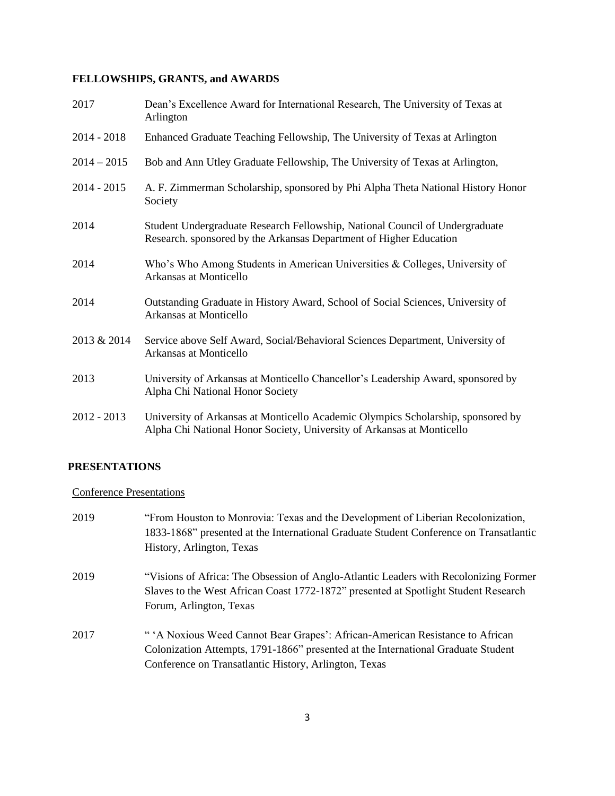# **FELLOWSHIPS, GRANTS, and AWARDS**

| 2017          | Dean's Excellence Award for International Research, The University of Texas at<br>Arlington                                                                |
|---------------|------------------------------------------------------------------------------------------------------------------------------------------------------------|
| $2014 - 2018$ | Enhanced Graduate Teaching Fellowship, The University of Texas at Arlington                                                                                |
| $2014 - 2015$ | Bob and Ann Utley Graduate Fellowship, The University of Texas at Arlington,                                                                               |
| $2014 - 2015$ | A. F. Zimmerman Scholarship, sponsored by Phi Alpha Theta National History Honor<br>Society                                                                |
| 2014          | Student Undergraduate Research Fellowship, National Council of Undergraduate<br>Research. sponsored by the Arkansas Department of Higher Education         |
| 2014          | Who's Who Among Students in American Universities & Colleges, University of<br>Arkansas at Monticello                                                      |
| 2014          | Outstanding Graduate in History Award, School of Social Sciences, University of<br>Arkansas at Monticello                                                  |
| 2013 & 2014   | Service above Self Award, Social/Behavioral Sciences Department, University of<br>Arkansas at Monticello                                                   |
| 2013          | University of Arkansas at Monticello Chancellor's Leadership Award, sponsored by<br>Alpha Chi National Honor Society                                       |
| $2012 - 2013$ | University of Arkansas at Monticello Academic Olympics Scholarship, sponsored by<br>Alpha Chi National Honor Society, University of Arkansas at Monticello |

# **PRESENTATIONS**

### Conference Presentations

| 2019 | "From Houston to Monrovia: Texas and the Development of Liberian Recolonization,<br>1833-1868" presented at the International Graduate Student Conference on Transatlantic<br>History, Arlington, Texas                   |
|------|---------------------------------------------------------------------------------------------------------------------------------------------------------------------------------------------------------------------------|
|      |                                                                                                                                                                                                                           |
| 2019 | "Visions of Africa: The Obsession of Anglo-Atlantic Leaders with Recolonizing Former<br>Slaves to the West African Coast 1772-1872" presented at Spotlight Student Research<br>Forum, Arlington, Texas                    |
| 2017 | "A Noxious Weed Cannot Bear Grapes': African-American Resistance to African<br>Colonization Attempts, 1791-1866" presented at the International Graduate Student<br>Conference on Transatlantic History, Arlington, Texas |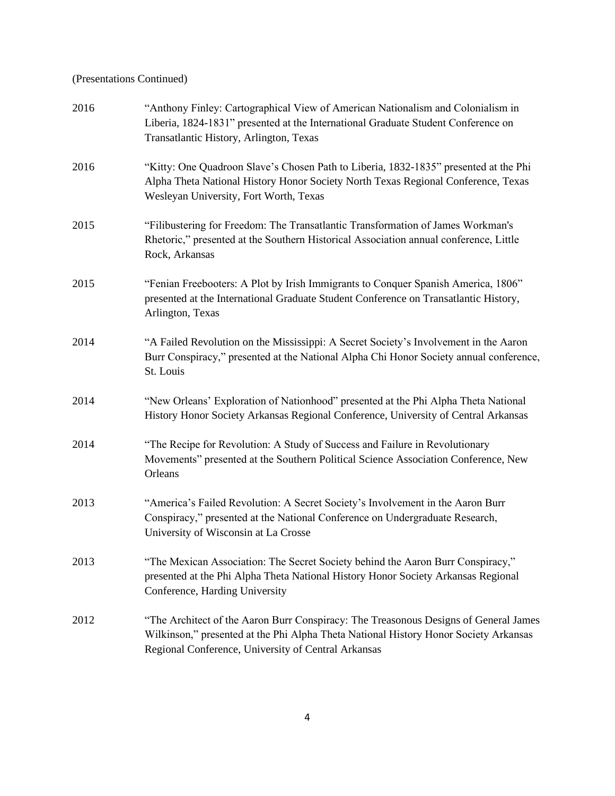# (Presentations Continued)

| 2016 | "Anthony Finley: Cartographical View of American Nationalism and Colonialism in<br>Liberia, 1824-1831" presented at the International Graduate Student Conference on<br>Transatlantic History, Arlington, Texas                     |
|------|-------------------------------------------------------------------------------------------------------------------------------------------------------------------------------------------------------------------------------------|
| 2016 | "Kitty: One Quadroon Slave's Chosen Path to Liberia, 1832-1835" presented at the Phi<br>Alpha Theta National History Honor Society North Texas Regional Conference, Texas<br>Wesleyan University, Fort Worth, Texas                 |
| 2015 | "Filibustering for Freedom: The Transatlantic Transformation of James Workman's<br>Rhetoric," presented at the Southern Historical Association annual conference, Little<br>Rock, Arkansas                                          |
| 2015 | "Fenian Freebooters: A Plot by Irish Immigrants to Conquer Spanish America, 1806"<br>presented at the International Graduate Student Conference on Transatlantic History,<br>Arlington, Texas                                       |
| 2014 | "A Failed Revolution on the Mississippi: A Secret Society's Involvement in the Aaron<br>Burr Conspiracy," presented at the National Alpha Chi Honor Society annual conference,<br>St. Louis                                         |
| 2014 | "New Orleans' Exploration of Nationhood" presented at the Phi Alpha Theta National<br>History Honor Society Arkansas Regional Conference, University of Central Arkansas                                                            |
| 2014 | "The Recipe for Revolution: A Study of Success and Failure in Revolutionary<br>Movements" presented at the Southern Political Science Association Conference, New<br>Orleans                                                        |
| 2013 | "America's Failed Revolution: A Secret Society's Involvement in the Aaron Burr<br>Conspiracy," presented at the National Conference on Undergraduate Research,<br>University of Wisconsin at La Crosse                              |
| 2013 | "The Mexican Association: The Secret Society behind the Aaron Burr Conspiracy,"<br>presented at the Phi Alpha Theta National History Honor Society Arkansas Regional<br>Conference, Harding University                              |
| 2012 | "The Architect of the Aaron Burr Conspiracy: The Treasonous Designs of General James<br>Wilkinson," presented at the Phi Alpha Theta National History Honor Society Arkansas<br>Regional Conference, University of Central Arkansas |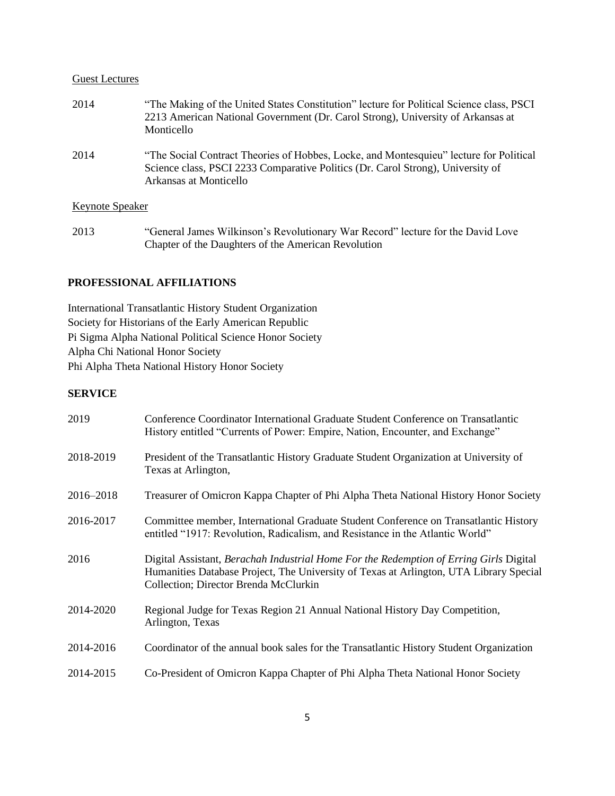#### Guest Lectures

| 2014                   | "The Making of the United States Constitution" lecture for Political Science class, PSCI<br>2213 American National Government (Dr. Carol Strong), University of Arkansas at<br>Monticello           |
|------------------------|-----------------------------------------------------------------------------------------------------------------------------------------------------------------------------------------------------|
| 2014                   | "The Social Contract Theories of Hobbes, Locke, and Montesquieu" lecture for Political<br>Science class, PSCI 2233 Comparative Politics (Dr. Carol Strong), University of<br>Arkansas at Monticello |
| <b>Keynote Speaker</b> |                                                                                                                                                                                                     |

2013 "General James Wilkinson's Revolutionary War Record" lecture for the David Love Chapter of the Daughters of the American Revolution

### **PROFESSIONAL AFFILIATIONS**

International Transatlantic History Student Organization Society for Historians of the Early American Republic Pi Sigma Alpha National Political Science Honor Society Alpha Chi National Honor Society Phi Alpha Theta National History Honor Society

### **SERVICE**

| 2019      | Conference Coordinator International Graduate Student Conference on Transatlantic<br>History entitled "Currents of Power: Empire, Nation, Encounter, and Exchange"                                                        |
|-----------|---------------------------------------------------------------------------------------------------------------------------------------------------------------------------------------------------------------------------|
| 2018-2019 | President of the Transatlantic History Graduate Student Organization at University of<br>Texas at Arlington,                                                                                                              |
| 2016-2018 | Treasurer of Omicron Kappa Chapter of Phi Alpha Theta National History Honor Society                                                                                                                                      |
| 2016-2017 | Committee member, International Graduate Student Conference on Transatlantic History<br>entitled "1917: Revolution, Radicalism, and Resistance in the Atlantic World"                                                     |
| 2016      | Digital Assistant, Berachah Industrial Home For the Redemption of Erring Girls Digital<br>Humanities Database Project, The University of Texas at Arlington, UTA Library Special<br>Collection; Director Brenda McClurkin |
| 2014-2020 | Regional Judge for Texas Region 21 Annual National History Day Competition,<br>Arlington, Texas                                                                                                                           |
| 2014-2016 | Coordinator of the annual book sales for the Transatlantic History Student Organization                                                                                                                                   |
| 2014-2015 | Co-President of Omicron Kappa Chapter of Phi Alpha Theta National Honor Society                                                                                                                                           |